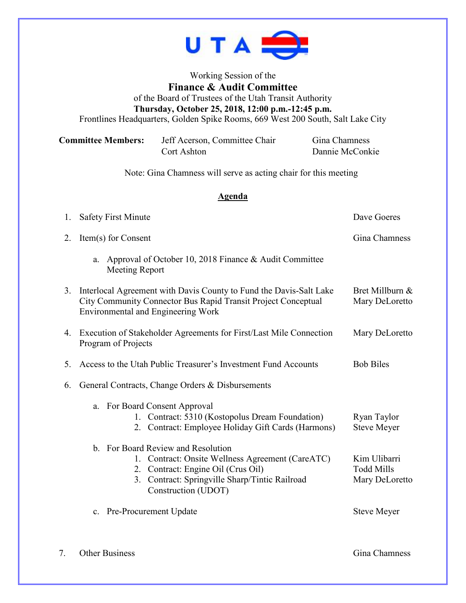

## Working Session of the **Finance & Audit Committee** of the Board of Trustees of the Utah Transit Authority **Thursday, October 25, 2018, 12:00 p.m.-12:45 p.m.** Frontlines Headquarters, Golden Spike Rooms, 669 West 200 South, Salt Lake City

| <b>Committee Members:</b> | Jeff Acerson, Committee Chair | Gina Chamness   |
|---------------------------|-------------------------------|-----------------|
|                           | Cort Ashton                   | Dannie McConkie |

Note: Gina Chamness will serve as acting chair for this meeting

## **Agenda**

| 1. | <b>Safety First Minute</b>                                                                                                                                                                            | Dave Goeres                                         |  |
|----|-------------------------------------------------------------------------------------------------------------------------------------------------------------------------------------------------------|-----------------------------------------------------|--|
| 2. | Item(s) for Consent                                                                                                                                                                                   | Gina Chamness                                       |  |
|    | Approval of October 10, 2018 Finance & Audit Committee<br>a.<br>Meeting Report                                                                                                                        |                                                     |  |
| 3. | Interlocal Agreement with Davis County to Fund the Davis-Salt Lake<br>City Community Connector Bus Rapid Transit Project Conceptual<br><b>Environmental and Engineering Work</b>                      | Bret Millburn &<br>Mary DeLoretto                   |  |
| 4. | Execution of Stakeholder Agreements for First/Last Mile Connection<br>Program of Projects                                                                                                             | Mary DeLoretto                                      |  |
| 5. | Access to the Utah Public Treasurer's Investment Fund Accounts                                                                                                                                        | <b>Bob Biles</b>                                    |  |
| 6. | General Contracts, Change Orders & Disbursements                                                                                                                                                      |                                                     |  |
|    | For Board Consent Approval<br>a.<br>1. Contract: 5310 (Kostopolus Dream Foundation)<br>2. Contract: Employee Holiday Gift Cards (Harmons)                                                             | Ryan Taylor<br><b>Steve Meyer</b>                   |  |
|    | b. For Board Review and Resolution<br>1. Contract: Onsite Wellness Agreement (CareATC)<br>2. Contract: Engine Oil (Crus Oil)<br>3. Contract: Springville Sharp/Tintic Railroad<br>Construction (UDOT) | Kim Ulibarri<br><b>Todd Mills</b><br>Mary DeLoretto |  |
|    | c. Pre-Procurement Update                                                                                                                                                                             | <b>Steve Meyer</b>                                  |  |

7. Other Business Gina Chamness